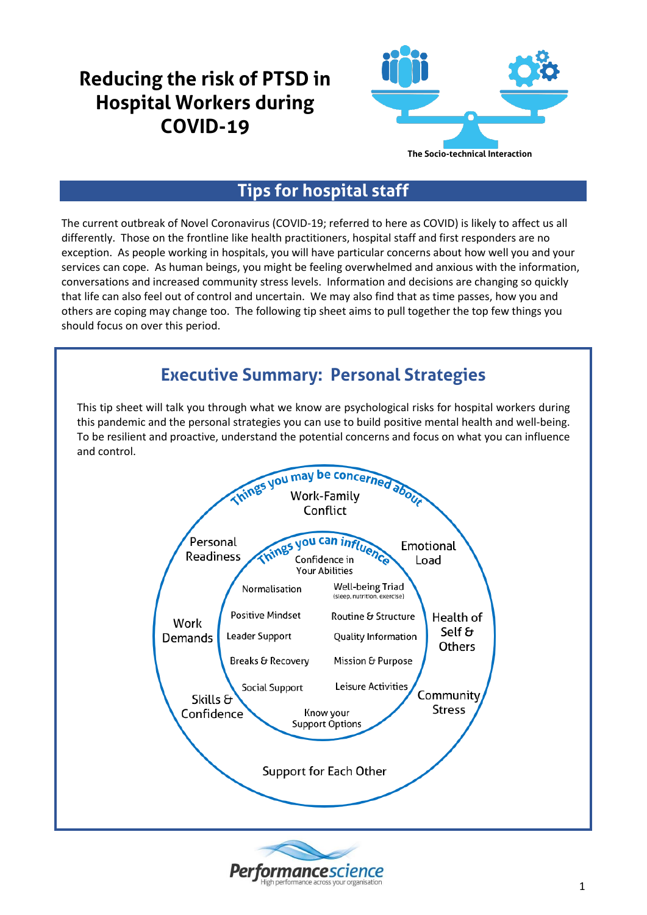# **Reducing the risk of PTSD in Hospital Workers during COVID-19**



### **Tips for hospital staff**

The current outbreak of Novel Coronavirus (COVID-19; referred to here as COVID) is likely to affect us all differently. Those on the frontline like health practitioners, hospital staff and first responders are no exception. As people working in hospitals, you will have particular concerns about how well you and your services can cope. As human beings, you might be feeling overwhelmed and anxious with the information, conversations and increased community stress levels. Information and decisions are changing so quickly that life can also feel out of control and uncertain. We may also find that as time passes, how you and others are coping may change too. The following tip sheet aims to pull together the top few things you should focus on over this period.

#### **Executive Summary: Personal Strategies** This tip sheet will talk you through what we know are psychological risks for hospital workers during this pandemic and the personal strategies you can use to build positive mental health and well-being. To be resilient and proactive, understand the potential concerns and focus on what you can influence and control. Things you may be concerned about Conflict you can inf Personal fluenc Emotional **Readiness** Confidence in Load **Your Abilities** Well-being Triad Normalisation (sleep, nutrition, exercise) **Positive Mindset** Routine & Structure Health of Work Self  $\sigma$ Leader Support Quality Information Demands **Others** Breaks & Recovery Mission & Purpose Leisure Activities **Social Support** Community Skills & **Stress** Confidence Know your **Support Options** Support for Each Other

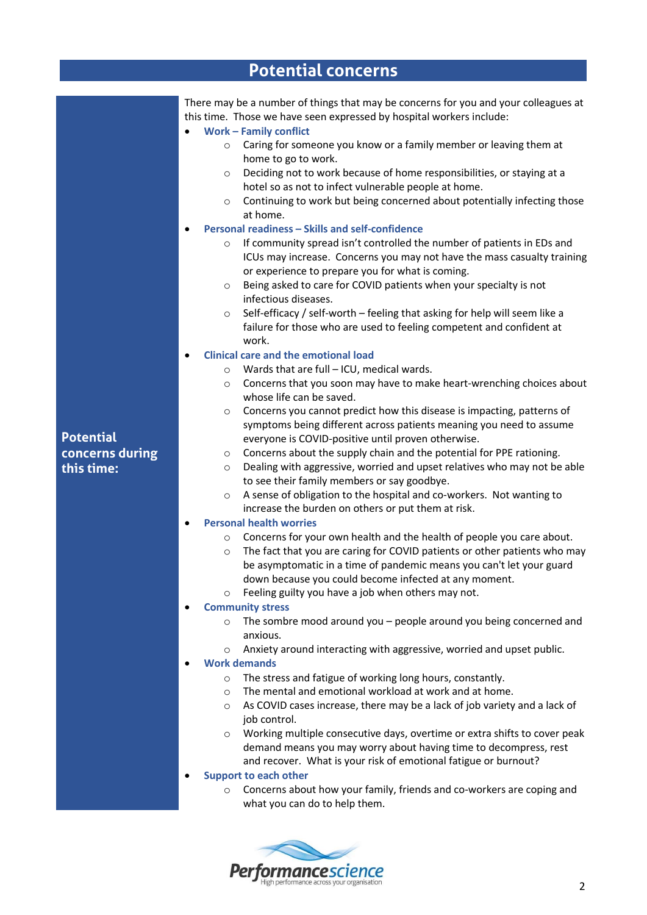|                                                   | <b>Potential concerns</b>                                                                                                                                                                                                                                                                                                                                                                                                                                                                                                                                                                                                                                                                                                                                                                                                                                                                                                                                                                                                                                                                                                                                                                                                                                                                                                                                                                                                                                                                                                                                                                                                                                                                                                                                                                                                                                                                                                                                                                                                                                                                                                                                                                                                                                                                                                                                                                                                                                                                                                                                                                                                                                                                                                                                                                                                                                                                                                                                                                       |
|---------------------------------------------------|-------------------------------------------------------------------------------------------------------------------------------------------------------------------------------------------------------------------------------------------------------------------------------------------------------------------------------------------------------------------------------------------------------------------------------------------------------------------------------------------------------------------------------------------------------------------------------------------------------------------------------------------------------------------------------------------------------------------------------------------------------------------------------------------------------------------------------------------------------------------------------------------------------------------------------------------------------------------------------------------------------------------------------------------------------------------------------------------------------------------------------------------------------------------------------------------------------------------------------------------------------------------------------------------------------------------------------------------------------------------------------------------------------------------------------------------------------------------------------------------------------------------------------------------------------------------------------------------------------------------------------------------------------------------------------------------------------------------------------------------------------------------------------------------------------------------------------------------------------------------------------------------------------------------------------------------------------------------------------------------------------------------------------------------------------------------------------------------------------------------------------------------------------------------------------------------------------------------------------------------------------------------------------------------------------------------------------------------------------------------------------------------------------------------------------------------------------------------------------------------------------------------------------------------------------------------------------------------------------------------------------------------------------------------------------------------------------------------------------------------------------------------------------------------------------------------------------------------------------------------------------------------------------------------------------------------------------------------------------------------------|
| <b>Potential</b><br>concerns during<br>this time: | There may be a number of things that may be concerns for you and your colleagues at<br>this time. Those we have seen expressed by hospital workers include:<br><b>Work - Family conflict</b><br>Caring for someone you know or a family member or leaving them at<br>$\circ$<br>home to go to work.<br>Deciding not to work because of home responsibilities, or staying at a<br>$\circ$<br>hotel so as not to infect vulnerable people at home.<br>Continuing to work but being concerned about potentially infecting those<br>$\circ$<br>at home.<br>Personal readiness - Skills and self-confidence<br>$\bullet$<br>If community spread isn't controlled the number of patients in EDs and<br>$\circ$<br>ICUs may increase. Concerns you may not have the mass casualty training<br>or experience to prepare you for what is coming.<br>Being asked to care for COVID patients when your specialty is not<br>$\circ$<br>infectious diseases.<br>Self-efficacy / self-worth - feeling that asking for help will seem like a<br>$\circ$<br>failure for those who are used to feeling competent and confident at<br>work.<br><b>Clinical care and the emotional load</b><br>Wards that are full - ICU, medical wards.<br>$\circ$<br>Concerns that you soon may have to make heart-wrenching choices about<br>$\circ$<br>whose life can be saved.<br>Concerns you cannot predict how this disease is impacting, patterns of<br>$\circ$<br>symptoms being different across patients meaning you need to assume<br>everyone is COVID-positive until proven otherwise.<br>Concerns about the supply chain and the potential for PPE rationing.<br>$\circ$<br>Dealing with aggressive, worried and upset relatives who may not be able<br>$\circ$<br>to see their family members or say goodbye.<br>A sense of obligation to the hospital and co-workers. Not wanting to<br>$\circ$<br>increase the burden on others or put them at risk.<br><b>Personal health worries</b><br>o Concerns for your own health and the health of people you care about.<br>The fact that you are caring for COVID patients or other patients who may<br>$\circ$<br>be asymptomatic in a time of pandemic means you can't let your guard<br>down because you could become infected at any moment.<br>Feeling guilty you have a job when others may not.<br>$\circ$<br><b>Community stress</b><br>The sombre mood around you - people around you being concerned and<br>$\circ$<br>anxious.<br>Anxiety around interacting with aggressive, worried and upset public.<br>$\circ$<br><b>Work demands</b><br>The stress and fatigue of working long hours, constantly.<br>$\circ$<br>The mental and emotional workload at work and at home.<br>$\circ$<br>As COVID cases increase, there may be a lack of job variety and a lack of<br>$\circ$<br>job control.<br>Working multiple consecutive days, overtime or extra shifts to cover peak<br>$\circ$<br>demand means you may worry about having time to decompress, rest |
|                                                   | and recover. What is your risk of emotional fatigue or burnout?<br><b>Support to each other</b><br>Concerns about how your family, friends and co-workers are coping and<br>$\circ$<br>what you can do to help them.                                                                                                                                                                                                                                                                                                                                                                                                                                                                                                                                                                                                                                                                                                                                                                                                                                                                                                                                                                                                                                                                                                                                                                                                                                                                                                                                                                                                                                                                                                                                                                                                                                                                                                                                                                                                                                                                                                                                                                                                                                                                                                                                                                                                                                                                                                                                                                                                                                                                                                                                                                                                                                                                                                                                                                            |

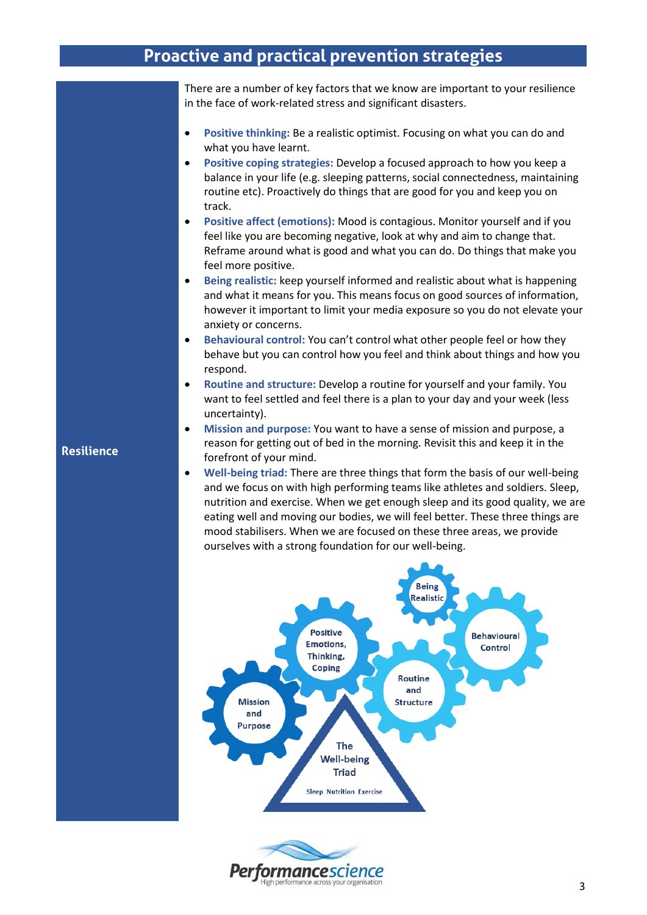#### **Proactive and practical prevention strategies**

There are a number of key factors that we know are important to your resilience in the face of work-related stress and significant disasters.

- **Positive thinking:** Be a realistic optimist. Focusing on what you can do and what you have learnt.
- **Positive coping strategies:** Develop a focused approach to how you keep a balance in your life (e.g. sleeping patterns, social connectedness, maintaining routine etc). Proactively do things that are good for you and keep you on track.
- **Positive affect (emotions):** Mood is contagious. Monitor yourself and if you feel like you are becoming negative, look at why and aim to change that. Reframe around what is good and what you can do. Do things that make you feel more positive.
- **Being realistic:** keep yourself informed and realistic about what is happening and what it means for you. This means focus on good sources of information, however it important to limit your media exposure so you do not elevate your anxiety or concerns.
- **Behavioural control:** You can't control what other people feel or how they behave but you can control how you feel and think about things and how you respond.
- **Routine and structure:** Develop a routine for yourself and your family. You want to feel settled and feel there is a plan to your day and your week (less uncertainty).
- **Mission and purpose:** You want to have a sense of mission and purpose, a reason for getting out of bed in the morning. Revisit this and keep it in the forefront of your mind.
- **Well-being triad:** There are three things that form the basis of our well-being and we focus on with high performing teams like athletes and soldiers. Sleep, nutrition and exercise. When we get enough sleep and its good quality, we are eating well and moving our bodies, we will feel better. These three things are mood stabilisers. When we are focused on these three areas, we provide ourselves with a strong foundation for our well-being.



#### **Resilience**

nance sci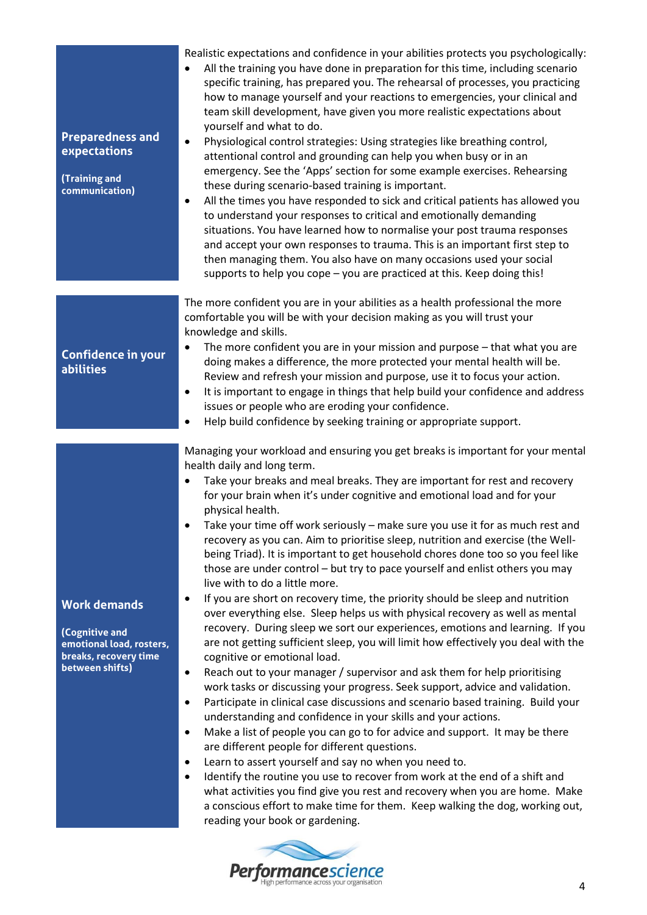| <b>Preparedness and</b><br>expectations<br>(Training and<br>communication)                                    | Realistic expectations and confidence in your abilities protects you psychologically:<br>All the training you have done in preparation for this time, including scenario<br>$\bullet$<br>specific training, has prepared you. The rehearsal of processes, you practicing<br>how to manage yourself and your reactions to emergencies, your clinical and<br>team skill development, have given you more realistic expectations about<br>yourself and what to do.<br>Physiological control strategies: Using strategies like breathing control,<br>$\bullet$<br>attentional control and grounding can help you when busy or in an<br>emergency. See the 'Apps' section for some example exercises. Rehearsing<br>these during scenario-based training is important.<br>All the times you have responded to sick and critical patients has allowed you<br>٠<br>to understand your responses to critical and emotionally demanding<br>situations. You have learned how to normalise your post trauma responses<br>and accept your own responses to trauma. This is an important first step to<br>then managing them. You also have on many occasions used your social<br>supports to help you cope - you are practiced at this. Keep doing this!                                                                                                                                                                                                                                                                                                                                                                                                                                                                                                                                                                                                                                                            |
|---------------------------------------------------------------------------------------------------------------|---------------------------------------------------------------------------------------------------------------------------------------------------------------------------------------------------------------------------------------------------------------------------------------------------------------------------------------------------------------------------------------------------------------------------------------------------------------------------------------------------------------------------------------------------------------------------------------------------------------------------------------------------------------------------------------------------------------------------------------------------------------------------------------------------------------------------------------------------------------------------------------------------------------------------------------------------------------------------------------------------------------------------------------------------------------------------------------------------------------------------------------------------------------------------------------------------------------------------------------------------------------------------------------------------------------------------------------------------------------------------------------------------------------------------------------------------------------------------------------------------------------------------------------------------------------------------------------------------------------------------------------------------------------------------------------------------------------------------------------------------------------------------------------------------------------------------------------------------------------------------------------------------------|
| <b>Confidence in your</b><br><b>abilities</b>                                                                 | The more confident you are in your abilities as a health professional the more<br>comfortable you will be with your decision making as you will trust your<br>knowledge and skills.<br>The more confident you are in your mission and purpose - that what you are<br>$\bullet$<br>doing makes a difference, the more protected your mental health will be.<br>Review and refresh your mission and purpose, use it to focus your action.<br>It is important to engage in things that help build your confidence and address<br>٠<br>issues or people who are eroding your confidence.<br>Help build confidence by seeking training or appropriate support.<br>$\bullet$                                                                                                                                                                                                                                                                                                                                                                                                                                                                                                                                                                                                                                                                                                                                                                                                                                                                                                                                                                                                                                                                                                                                                                                                                                  |
| <b>Work demands</b><br>(Cognitive and<br>emotional load, rosters,<br>breaks, recovery time<br>between shifts) | Managing your workload and ensuring you get breaks is important for your mental<br>health daily and long term.<br>Take your breaks and meal breaks. They are important for rest and recovery<br>$\bullet$<br>for your brain when it's under cognitive and emotional load and for your<br>physical health.<br>• Take your time off work seriously – make sure you use it for as much rest and<br>recovery as you can. Aim to prioritise sleep, nutrition and exercise (the Well-<br>being Triad). It is important to get household chores done too so you feel like<br>those are under control - but try to pace yourself and enlist others you may<br>live with to do a little more.<br>If you are short on recovery time, the priority should be sleep and nutrition<br>٠<br>over everything else. Sleep helps us with physical recovery as well as mental<br>recovery. During sleep we sort our experiences, emotions and learning. If you<br>are not getting sufficient sleep, you will limit how effectively you deal with the<br>cognitive or emotional load.<br>Reach out to your manager / supervisor and ask them for help prioritising<br>٠<br>work tasks or discussing your progress. Seek support, advice and validation.<br>Participate in clinical case discussions and scenario based training. Build your<br>$\bullet$<br>understanding and confidence in your skills and your actions.<br>Make a list of people you can go to for advice and support. It may be there<br>$\bullet$<br>are different people for different questions.<br>Learn to assert yourself and say no when you need to.<br>٠<br>Identify the routine you use to recover from work at the end of a shift and<br>٠<br>what activities you find give you rest and recovery when you are home. Make<br>a conscious effort to make time for them. Keep walking the dog, working out,<br>reading your book or gardening. |

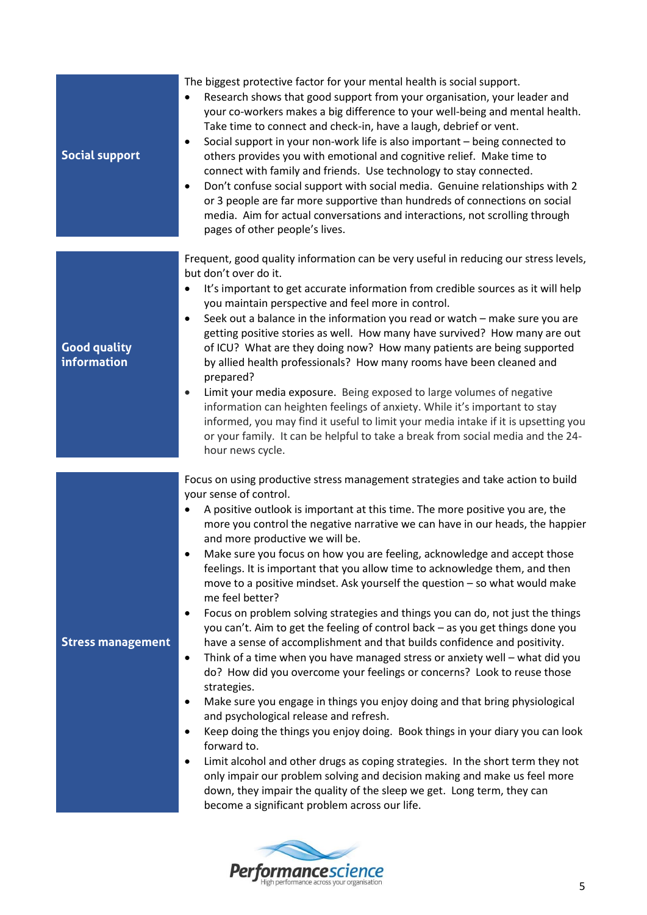| <b>Social support</b>              | The biggest protective factor for your mental health is social support.<br>Research shows that good support from your organisation, your leader and<br>$\bullet$<br>your co-workers makes a big difference to your well-being and mental health.<br>Take time to connect and check-in, have a laugh, debrief or vent.<br>Social support in your non-work life is also important - being connected to<br>$\bullet$<br>others provides you with emotional and cognitive relief. Make time to<br>connect with family and friends. Use technology to stay connected.<br>Don't confuse social support with social media. Genuine relationships with 2<br>$\bullet$<br>or 3 people are far more supportive than hundreds of connections on social<br>media. Aim for actual conversations and interactions, not scrolling through<br>pages of other people's lives.                                                                                                                                                                                                                                                                                                                                                                                                                                                                                                                                                                                                                                                                                                                    |
|------------------------------------|---------------------------------------------------------------------------------------------------------------------------------------------------------------------------------------------------------------------------------------------------------------------------------------------------------------------------------------------------------------------------------------------------------------------------------------------------------------------------------------------------------------------------------------------------------------------------------------------------------------------------------------------------------------------------------------------------------------------------------------------------------------------------------------------------------------------------------------------------------------------------------------------------------------------------------------------------------------------------------------------------------------------------------------------------------------------------------------------------------------------------------------------------------------------------------------------------------------------------------------------------------------------------------------------------------------------------------------------------------------------------------------------------------------------------------------------------------------------------------------------------------------------------------------------------------------------------------|
| <b>Good quality</b><br>information | Frequent, good quality information can be very useful in reducing our stress levels,<br>but don't over do it.<br>It's important to get accurate information from credible sources as it will help<br>$\bullet$<br>you maintain perspective and feel more in control.<br>Seek out a balance in the information you read or watch - make sure you are<br>$\bullet$<br>getting positive stories as well. How many have survived? How many are out<br>of ICU? What are they doing now? How many patients are being supported<br>by allied health professionals? How many rooms have been cleaned and<br>prepared?<br>Limit your media exposure. Being exposed to large volumes of negative<br>$\bullet$<br>information can heighten feelings of anxiety. While it's important to stay<br>informed, you may find it useful to limit your media intake if it is upsetting you<br>or your family. It can be helpful to take a break from social media and the 24-<br>hour news cycle.                                                                                                                                                                                                                                                                                                                                                                                                                                                                                                                                                                                                  |
| <b>Stress management</b>           | Focus on using productive stress management strategies and take action to build<br>your sense of control.<br>A positive outlook is important at this time. The more positive you are, the<br>more you control the negative narrative we can have in our heads, the happier<br>and more productive we will be.<br>Make sure you focus on how you are feeling, acknowledge and accept those<br>feelings. It is important that you allow time to acknowledge them, and then<br>move to a positive mindset. Ask yourself the question - so what would make<br>me feel better?<br>Focus on problem solving strategies and things you can do, not just the things<br>$\bullet$<br>you can't. Aim to get the feeling of control back - as you get things done you<br>have a sense of accomplishment and that builds confidence and positivity.<br>Think of a time when you have managed stress or anxiety well - what did you<br>٠<br>do? How did you overcome your feelings or concerns? Look to reuse those<br>strategies.<br>Make sure you engage in things you enjoy doing and that bring physiological<br>$\bullet$<br>and psychological release and refresh.<br>Keep doing the things you enjoy doing. Book things in your diary you can look<br>$\bullet$<br>forward to.<br>Limit alcohol and other drugs as coping strategies. In the short term they not<br>$\bullet$<br>only impair our problem solving and decision making and make us feel more<br>down, they impair the quality of the sleep we get. Long term, they can<br>become a significant problem across our life. |

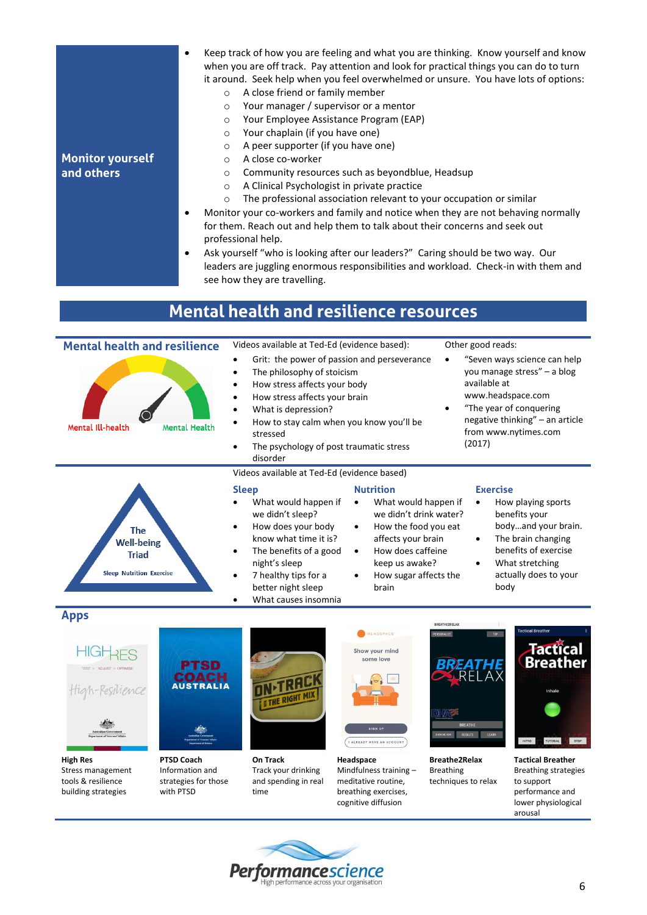| <b>Monitor yourself</b><br>and others | Keep track of how you are feeling and what you are thinking. Know yourself and know<br>٠<br>when you are off track. Pay attention and look for practical things you can do to turn<br>it around. Seek help when you feel overwhelmed or unsure. You have lots of options:<br>A close friend or family member<br>$\circ$<br>Your manager / supervisor or a mentor<br>$\circ$<br>Your Employee Assistance Program (EAP)<br>$\circ$<br>Your chaplain (if you have one)<br>$\circ$<br>A peer supporter (if you have one)<br>$\circ$<br>A close co-worker<br>$\circ$<br>Community resources such as beyondblue, Headsup<br>$\circ$<br>A Clinical Psychologist in private practice<br>$\circ$<br>The professional association relevant to your occupation or similar<br>$\circ$<br>Monitor your co-workers and family and notice when they are not behaving normally<br>٠<br>for them. Reach out and help them to talk about their concerns and seek out<br>professional help.<br>Ask yourself "who is looking after our leaders?" Caring should be two way. Our<br>٠ |
|---------------------------------------|-----------------------------------------------------------------------------------------------------------------------------------------------------------------------------------------------------------------------------------------------------------------------------------------------------------------------------------------------------------------------------------------------------------------------------------------------------------------------------------------------------------------------------------------------------------------------------------------------------------------------------------------------------------------------------------------------------------------------------------------------------------------------------------------------------------------------------------------------------------------------------------------------------------------------------------------------------------------------------------------------------------------------------------------------------------------|
|                                       | leaders are juggling enormous responsibilities and workload. Check-in with them and<br>see how they are travelling.                                                                                                                                                                                                                                                                                                                                                                                                                                                                                                                                                                                                                                                                                                                                                                                                                                                                                                                                             |

## **Mental health and resilience resources**



**High Res** Stress management tools & resilience building strategies

**PTSD Coach** Information and strategies for those with PTSD

**On Track** Track your drinking and spending in real time

**Headspace** Mindfulness training – meditative routine, breathing exercises, cognitive diffusion

**Breathe2Relax** Breathing techniques to relax **Tactical Breather** Breathing strategies to support performance and lower physiological arousal